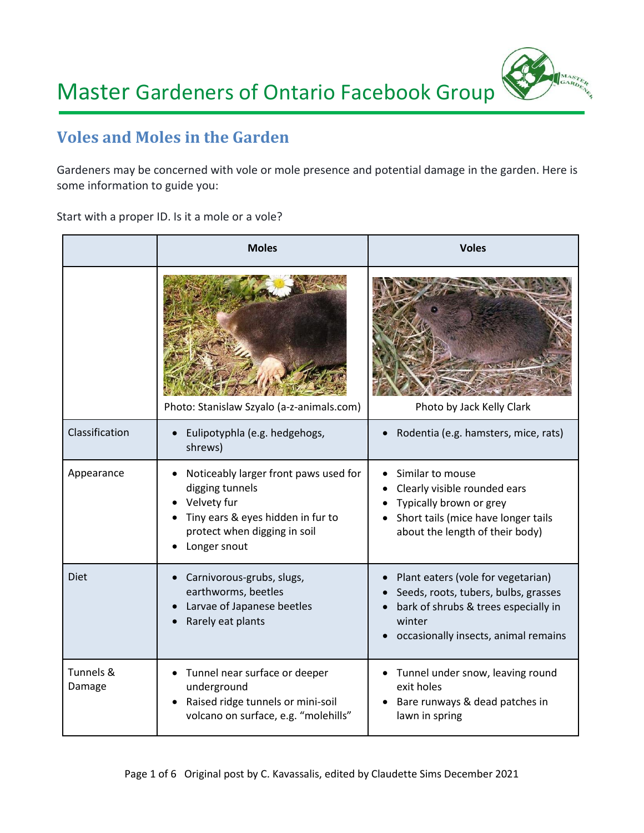

# **Voles and Moles in the Garden**

Gardeners may be concerned with vole or mole presence and potential damage in the garden. Here is some information to guide you:

Start with a proper ID. Is it a mole or a vole?

|                     | <b>Moles</b>                                                                                                                                                 | <b>Voles</b>                                                                                                                                                         |
|---------------------|--------------------------------------------------------------------------------------------------------------------------------------------------------------|----------------------------------------------------------------------------------------------------------------------------------------------------------------------|
| Classification      | Photo: Stanislaw Szyalo (a-z-animals.com)<br>Eulipotyphla (e.g. hedgehogs,                                                                                   | Photo by Jack Kelly Clark<br>Rodentia (e.g. hamsters, mice, rats)                                                                                                    |
|                     | shrews)                                                                                                                                                      |                                                                                                                                                                      |
| Appearance          | Noticeably larger front paws used for<br>digging tunnels<br>Velvety fur<br>Tiny ears & eyes hidden in fur to<br>protect when digging in soil<br>Longer snout | Similar to mouse<br>Clearly visible rounded ears<br>Typically brown or grey<br>Short tails (mice have longer tails<br>about the length of their body)                |
| <b>Diet</b>         | Carnivorous-grubs, slugs,<br>earthworms, beetles<br>Larvae of Japanese beetles<br>Rarely eat plants                                                          | Plant eaters (vole for vegetarian)<br>Seeds, roots, tubers, bulbs, grasses<br>bark of shrubs & trees especially in<br>winter<br>occasionally insects, animal remains |
| Tunnels &<br>Damage | Tunnel near surface or deeper<br>underground<br>Raised ridge tunnels or mini-soil<br>volcano on surface, e.g. "molehills"                                    | Tunnel under snow, leaving round<br>exit holes<br>Bare runways & dead patches in<br>lawn in spring                                                                   |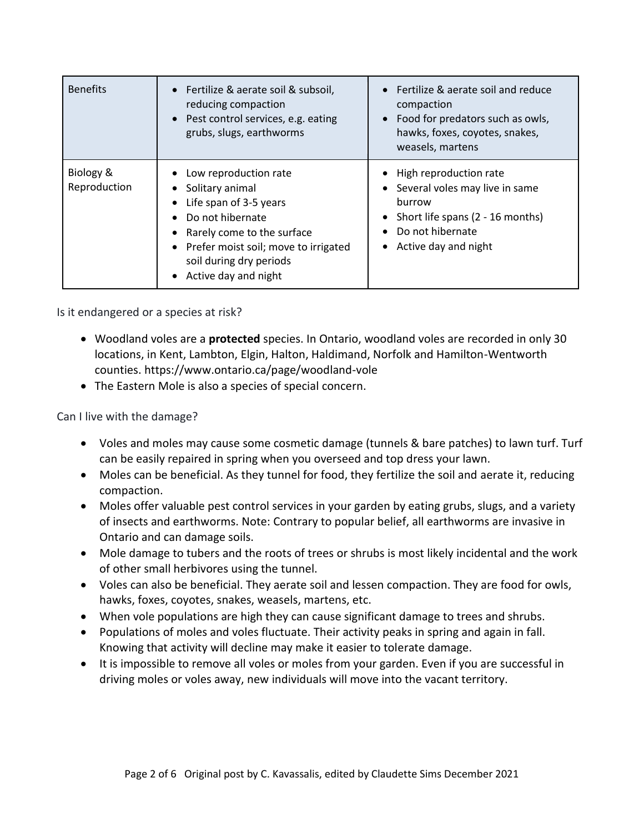| <b>Benefits</b>           | • Fertilize & aerate soil & subsoil,<br>reducing compaction<br>Pest control services, e.g. eating<br>$\bullet$<br>grubs, slugs, earthworms                                                                                        | Fertilize & aerate soil and reduce<br>compaction<br>Food for predators such as owls,<br>$\bullet$<br>hawks, foxes, coyotes, snakes,<br>weasels, martens                                   |
|---------------------------|-----------------------------------------------------------------------------------------------------------------------------------------------------------------------------------------------------------------------------------|-------------------------------------------------------------------------------------------------------------------------------------------------------------------------------------------|
| Biology &<br>Reproduction | Low reproduction rate<br>٠<br>Solitary animal<br>$\bullet$<br>Life span of 3-5 years<br>Do not hibernate<br>Rarely come to the surface<br>Prefer moist soil; move to irrigated<br>soil during dry periods<br>Active day and night | High reproduction rate<br>Several voles may live in same<br>$\bullet$<br>burrow<br>Short life spans (2 - 16 months)<br>$\bullet$<br>Do not hibernate<br>Active day and night<br>$\bullet$ |

Is it endangered or a species at risk?

- Woodland voles are a **protected** species. In Ontario, woodland voles are recorded in only 30 locations, in Kent, Lambton, Elgin, Halton, Haldimand, Norfolk and Hamilton-Wentworth counties. [https://www.ontario.ca/page/woodland-vole](https://l.facebook.com/l.php?u=https%3A%2F%2Fwww.ontario.ca%2Fpage%2Fwoodland-vole%3Ffbclid%3DIwAR3unDg9r88LeMCpH9Qie-PLIr1y5oCNaorx6s27Vn46NDqFAo7iyskbxoY&h=AT0jBpaN0AplYDAKKuBIGUnHMOVvbxxrP85YIAXbDbLc70wVWAndUXC_U3LYtl5oYsRbI6_6edv8GQmEnUCvHwmgIVvS18ciHrgsrnD1JAlv8aDWZyVGry3XjnD48rp7wg&__tn__=R%5d-R&c%5b0%5d=AT2s02AToBN1xhrHoQOvlulbXmZCyg-wRAhZSUPDw7SXazHWe6LGSdhPkco3GrpM83ZBcttv_0L6chZpz9RCwu2dTrowYPVAw4FMvNdihXK-NvDy-9dKoiDRfP9Kd1J2nhP1xo9DNoCvRwF2lUUW8iIn2yJ9mHdHizJnJH7eHxR2S3bXxjWh5n9f2mbjIFvy2OVYgKCr3X9V)
- The Eastern Mole is also a species of special concern.

Can I live with the damage?

- Voles and moles may cause some cosmetic damage (tunnels & bare patches) to lawn turf. Turf can be easily repaired in spring when you overseed and top dress your lawn.
- Moles can be beneficial. As they tunnel for food, they fertilize the soil and aerate it, reducing compaction.
- Moles offer valuable pest control services in your garden by eating grubs, slugs, and a variety of insects and earthworms. Note: Contrary to popular belief, all earthworms are invasive in Ontario and can damage soils.
- Mole damage to tubers and the roots of trees or shrubs is most likely incidental and the work of other small herbivores using the tunnel.
- Voles can also be beneficial. They aerate soil and lessen compaction. They are food for owls, hawks, foxes, coyotes, snakes, weasels, martens, etc.
- When vole populations are high they can cause significant damage to trees and shrubs.
- Populations of moles and voles fluctuate. Their activity peaks in spring and again in fall. Knowing that activity will decline may make it easier to tolerate damage.
- It is impossible to remove all voles or moles from your garden. Even if you are successful in driving moles or voles away, new individuals will move into the vacant territory.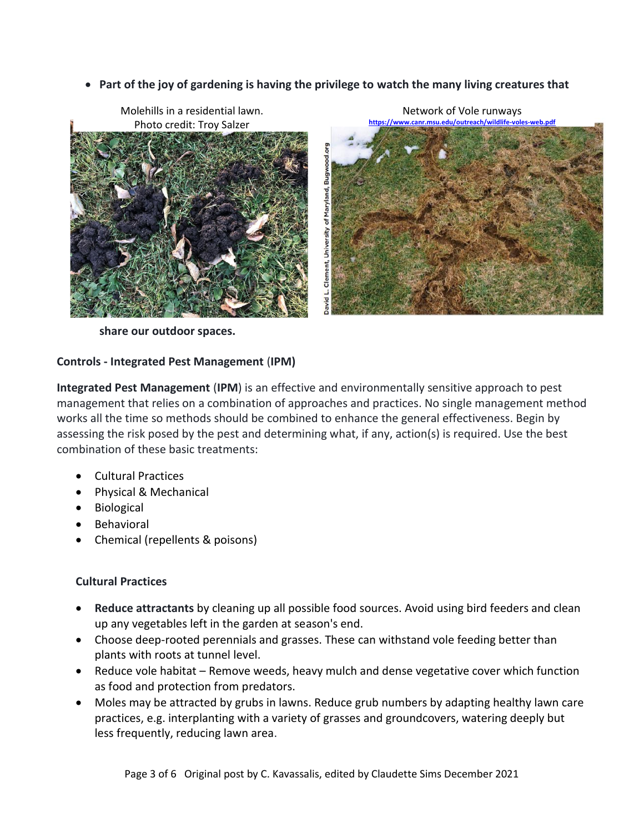• **Part of the joy of gardening is having the privilege to watch the many living creatures that** 



**share our outdoor spaces.**

#### **Controls - Integrated Pest Management** (**IPM)**

**Integrated Pest Management** (**IPM**) is an effective and environmentally sensitive approach to pest management that relies on a combination of approaches and practices. No single management method works all the time so methods should be combined to enhance the general effectiveness. Begin by assessing the risk posed by the pest and determining what, if any, action(s) is required. Use the best combination of these basic treatments:

- Cultural Practices
- Physical & Mechanical
- Biological
- Behavioral
- Chemical (repellents & poisons)

#### **Cultural Practices**

- **Reduce attractants** by cleaning up all possible food sources. Avoid using bird feeders and clean up any vegetables left in the garden at season's end.
- Choose deep-rooted perennials and grasses. These can withstand vole feeding better than plants with roots at tunnel level.
- Reduce vole habitat Remove weeds, heavy mulch and dense vegetative cover which function as food and protection from predators.
- Moles may be attracted by grubs in lawns. Reduce grub numbers by adapting healthy lawn care practices, e.g. interplanting with a variety of grasses and groundcovers, watering deeply but less frequently, reducing lawn area.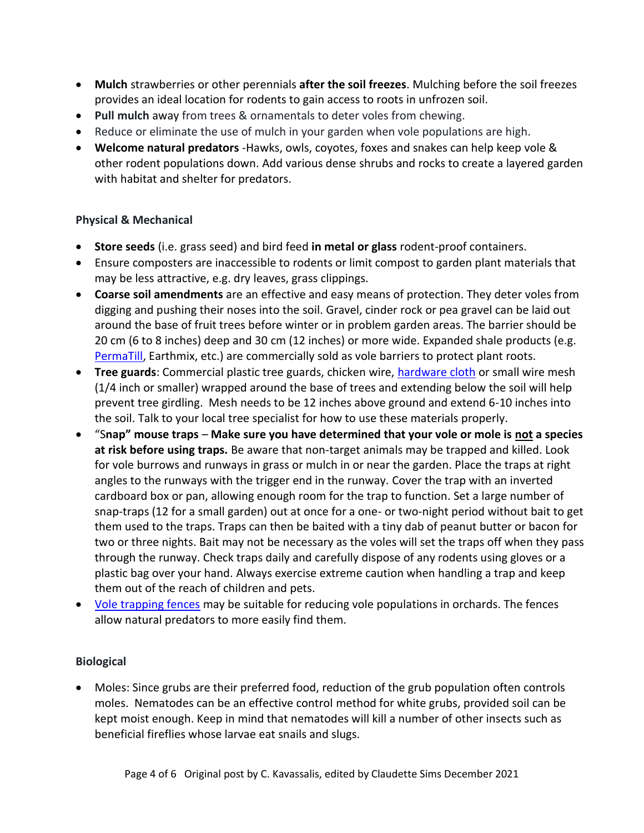- **Mulch** strawberries or other perennials **after the soil freezes**. Mulching before the soil freezes provides an ideal location for rodents to gain access to roots in unfrozen soil.
- **Pull mulch** away from trees & ornamentals to deter voles from chewing.
- Reduce or eliminate the use of mulch in your garden when vole populations are high.
- **Welcome natural predators** -Hawks, owls, coyotes, foxes and snakes can help keep vole & other rodent populations down. Add various dense shrubs and rocks to create a layered garden with habitat and shelter for predators.

## **Physical & Mechanical**

- **Store seeds** (i.e. grass seed) and bird feed **in metal or glass** rodent-proof containers.
- Ensure composters are inaccessible to rodents or limit compost to garden plant materials that may be less attractive, e.g. dry leaves, grass clippings.
- **Coarse soil amendments** are an effective and easy means of protection. They deter voles from digging and pushing their noses into the soil. Gravel, cinder rock or pea gravel can be laid out around the base of fruit trees before winter or in problem garden areas. The barrier should be 20 cm (6 to 8 inches) deep and 30 cm (12 inches) or more wide. Expanded shale products (e.g. [PermaTill,](https://staliteenvironmental.com/vole-control-1) Earthmix, etc.) are commercially sold as vole barriers to protect plant roots.
- **Tree guards**: Commercial plastic tree guards, chicken wire, [hardware cloth](https://www.amazon.com/Hardware-Galvanized-Rolled-Large-Sized-Insects/dp/B07T82KFHM) or small wire mesh (1/4 inch or smaller) wrapped around the base of trees and extending below the soil will help prevent tree girdling. Mesh needs to be 12 inches above ground and extend 6-10 inches into the soil. Talk to your local tree specialist for how to use these materials properly.
- "S**nap" mouse traps Make sure you have determined that your vole or mole is not a species at risk before using traps.** Be aware that non-target animals may be trapped and killed. Look for vole burrows and runways in grass or mulch in or near the garden. Place the traps at right angles to the runways with the trigger end in the runway. Cover the trap with an inverted cardboard box or pan, allowing enough room for the trap to function. Set a large number of snap-traps (12 for a small garden) out at once for a one- or two-night period without bait to get them used to the traps. Traps can then be baited with a tiny dab of peanut butter or bacon for two or three nights. Bait may not be necessary as the voles will set the traps off when they pass through the runway. Check traps daily and carefully dispose of any rodents using gloves or a plastic bag over your hand. Always exercise extreme caution when handling a trap and keep them out of the reach of children and pets.
- [Vole trapping fences](https://orgprints.org/id/eprint/17170/1/54_SC_B_Walther_O_Fuelling_S341bis345.pdf) may be suitable for reducing vole populations in orchards. The fences allow natural predators to more easily find them.

#### **Biological**

• Moles: Since grubs are their preferred food, reduction of the grub population often controls moles. Nematodes can be an effective control method for white grubs, provided soil can be kept moist enough. Keep in mind that nematodes will kill a number of other insects such as beneficial fireflies whose larvae eat snails and slugs.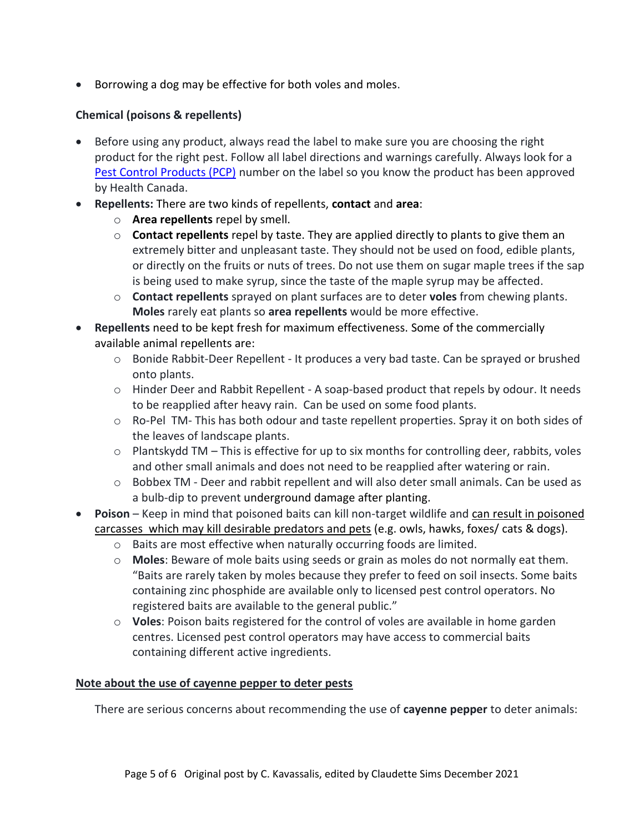• Borrowing a dog may be effective for both voles and moles.

## **Chemical (poisons & repellents)**

- Before using any product, always read the label to make sure you are choosing the right product for the right pest. Follow all label directions and warnings carefully. Always look for a [Pest Control Products \(PCP\)](https://www.canada.ca/en/health-canada/services/about-pest-control-product-registrant-inspections.html#a1) number on the label so you know the product has been approved by Health Canada.
- **Repellents:** There are two kinds of repellents, **contact** and **area**:
	- o **Area repellents** repel by smell.
	- o **Contact repellents** repel by taste. They are applied directly to plants to give them an extremely bitter and unpleasant taste. They should not be used on food, edible plants, or directly on the fruits or nuts of trees. Do not use them on sugar maple trees if the sap is being used to make syrup, since the taste of the maple syrup may be affected.
	- o **Contact repellents** sprayed on plant surfaces are to deter **voles** from chewing plants. **Moles** rarely eat plants so **area repellents** would be more effective.
- **Repellents** need to be kept fresh for maximum effectiveness. Some of the commercially available animal repellents are:
	- o Bonide Rabbit-Deer Repellent It produces a very bad taste. Can be sprayed or brushed onto plants.
	- $\circ$  Hinder Deer and Rabbit Repellent A soap-based product that repels by odour. It needs to be reapplied after heavy rain. Can be used on some food plants.
	- $\circ$  Ro-Pel TM- This has both odour and taste repellent properties. Spray it on both sides of the leaves of landscape plants.
	- o Plantskydd TM This is effective for up to six months for controlling deer, rabbits, voles and other small animals and does not need to be reapplied after watering or rain.
	- $\circ$  Bobbex TM Deer and rabbit repellent and will also deter small animals. Can be used as a bulb-dip to prevent underground damage after planting.
- **Poison**  Keep in mind that poisoned baits can kill non-target wildlife and can result in poisoned carcasses which may kill desirable predators and pets (e.g. owls, hawks, foxes/ cats & dogs).
	- o Baits are most effective when naturally occurring foods are limited.
	- o **Moles**: Beware of mole baits using seeds or grain as moles do not normally eat them. "Baits are rarely taken by moles because they prefer to feed on soil insects. Some baits containing zinc phosphide are available only to licensed pest control operators. No registered baits are available to the general public."
	- o **Voles**: Poison baits registered for the control of voles are available in home garden centres. Licensed pest control operators may have access to commercial baits containing different active ingredients.

#### **Note about the use of cayenne pepper to deter pests**

There are serious concerns about recommending the use of **cayenne pepper** to deter animals: